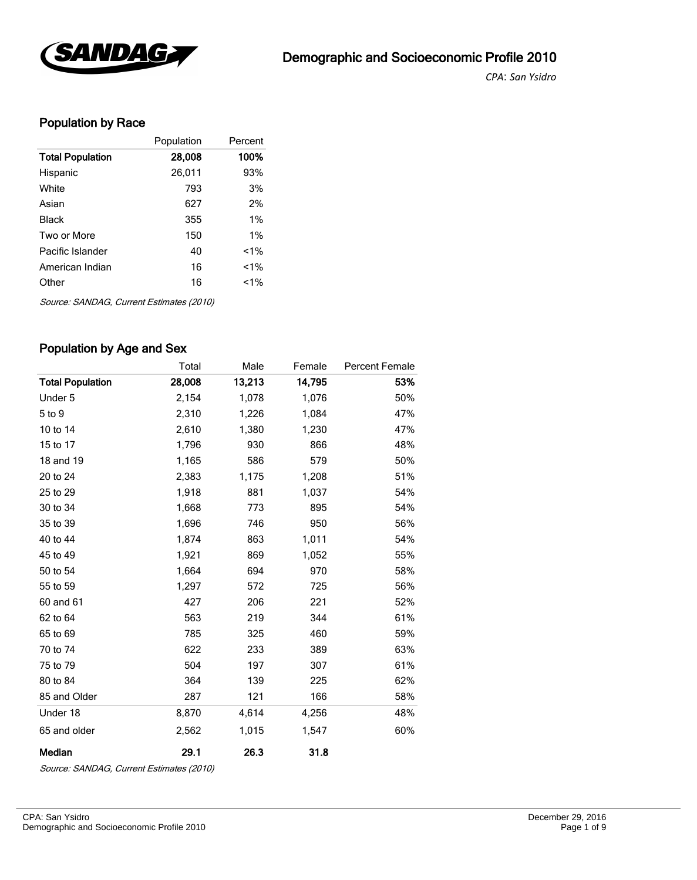

*CPA*: *San Ysidro* 

# Population by Race

|                         | Population | Percent |
|-------------------------|------------|---------|
| <b>Total Population</b> | 28,008     | 100%    |
| Hispanic                | 26,011     | 93%     |
| White                   | 793        | 3%      |
| Asian                   | 627        | 2%      |
| Black                   | 355        | $1\%$   |
| Two or More             | 150        | 1%      |
| Pacific Islander        | 40         | $1\%$   |
| American Indian         | 16         | $< 1\%$ |
| Other                   | 16         | $1\%$   |
|                         |            |         |

Source: SANDAG, Current Estimates (2010)

## Population by Age and Sex

|                         | Total  | Male   | Female | <b>Percent Female</b> |
|-------------------------|--------|--------|--------|-----------------------|
| <b>Total Population</b> | 28,008 | 13,213 | 14,795 | 53%                   |
| Under 5                 | 2,154  | 1,078  | 1,076  | 50%                   |
| 5 to 9                  | 2,310  | 1,226  | 1,084  | 47%                   |
| 10 to 14                | 2,610  | 1,380  | 1,230  | 47%                   |
| 15 to 17                | 1,796  | 930    | 866    | 48%                   |
| 18 and 19               | 1,165  | 586    | 579    | 50%                   |
| 20 to 24                | 2,383  | 1,175  | 1,208  | 51%                   |
| 25 to 29                | 1,918  | 881    | 1,037  | 54%                   |
| 30 to 34                | 1,668  | 773    | 895    | 54%                   |
| 35 to 39                | 1,696  | 746    | 950    | 56%                   |
| 40 to 44                | 1,874  | 863    | 1,011  | 54%                   |
| 45 to 49                | 1,921  | 869    | 1,052  | 55%                   |
| 50 to 54                | 1,664  | 694    | 970    | 58%                   |
| 55 to 59                | 1,297  | 572    | 725    | 56%                   |
| 60 and 61               | 427    | 206    | 221    | 52%                   |
| 62 to 64                | 563    | 219    | 344    | 61%                   |
| 65 to 69                | 785    | 325    | 460    | 59%                   |
| 70 to 74                | 622    | 233    | 389    | 63%                   |
| 75 to 79                | 504    | 197    | 307    | 61%                   |
| 80 to 84                | 364    | 139    | 225    | 62%                   |
| 85 and Older            | 287    | 121    | 166    | 58%                   |
| Under 18                | 8,870  | 4,614  | 4,256  | 48%                   |
| 65 and older            | 2,562  | 1,015  | 1,547  | 60%                   |
| Median                  | 29.1   | 26.3   | 31.8   |                       |

Source: SANDAG, Current Estimates (2010)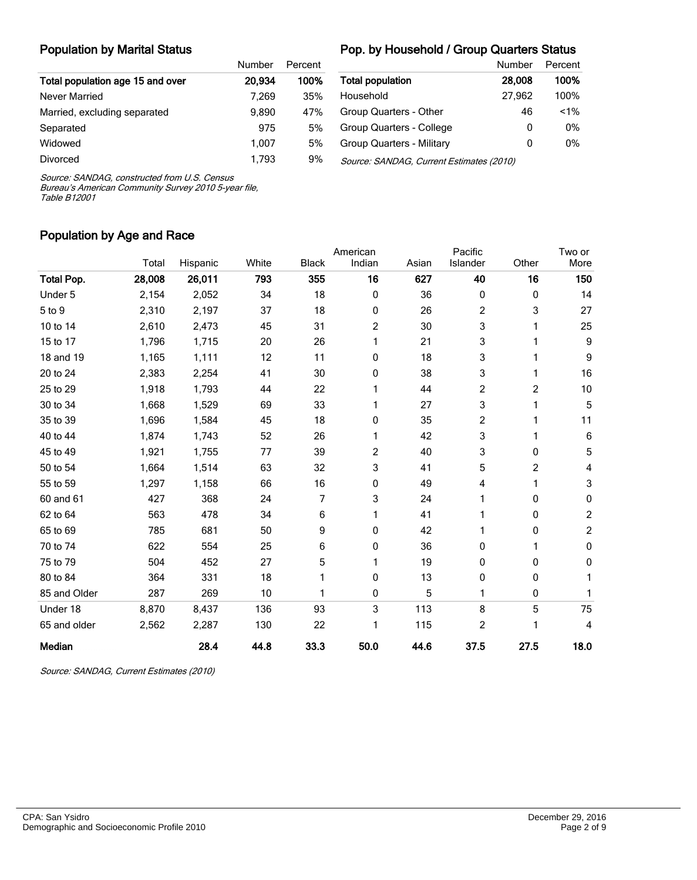# Population by Marital Status

### Pop. by Household / Group Quarters Status

|                                  | Number | Percent |
|----------------------------------|--------|---------|
| Total population age 15 and over | 20.934 | 100%    |
| Never Married                    | 7.269  | 35%     |
| Married, excluding separated     | 9,890  | 47%     |
| Separated                        | 975    | 5%      |
| Widowed                          | 1.007  | 5%      |
| Divorced                         | 1.793  | 9%      |

|                                          | Number | Percent |  |  |  |
|------------------------------------------|--------|---------|--|--|--|
| <b>Total population</b>                  | 28,008 | 100%    |  |  |  |
| Household                                | 27,962 | 100%    |  |  |  |
| Group Quarters - Other                   | 46     | $< 1\%$ |  |  |  |
| Group Quarters - College                 | 0      | $0\%$   |  |  |  |
| Group Quarters - Military                | 0      | 0%      |  |  |  |
| Source: SANDAG, Current Estimates (2010) |        |         |  |  |  |

Source: SANDAG, constructed from U.S. Census

Bureau's American Community Survey 2010 5-year file, Table B12001

## Population by Age and Race

|                   |        |          |       |              | American       |       | Pacific  |       | Two or         |
|-------------------|--------|----------|-------|--------------|----------------|-------|----------|-------|----------------|
|                   | Total  | Hispanic | White | <b>Black</b> | Indian         | Asian | Islander | Other | More           |
| <b>Total Pop.</b> | 28,008 | 26,011   | 793   | 355          | 16             | 627   | 40       | 16    | 150            |
| Under 5           | 2,154  | 2,052    | 34    | 18           | 0              | 36    | 0        | 0     | 14             |
| 5 to 9            | 2,310  | 2,197    | 37    | 18           | 0              | 26    | 2        | 3     | 27             |
| 10 to 14          | 2,610  | 2,473    | 45    | 31           | 2              | 30    | 3        | 1     | 25             |
| 15 to 17          | 1,796  | 1,715    | 20    | 26           | 1              | 21    | 3        | 1     | 9              |
| 18 and 19         | 1,165  | 1,111    | 12    | 11           | 0              | 18    | 3        | 1     | 9              |
| 20 to 24          | 2,383  | 2,254    | 41    | 30           | 0              | 38    | 3        | 1     | 16             |
| 25 to 29          | 1,918  | 1,793    | 44    | 22           | 1              | 44    | 2        | 2     | 10             |
| 30 to 34          | 1,668  | 1,529    | 69    | 33           | 1              | 27    | 3        | 1     | $\overline{5}$ |
| 35 to 39          | 1,696  | 1,584    | 45    | 18           | 0              | 35    | 2        | 1     | 11             |
| 40 to 44          | 1,874  | 1,743    | 52    | 26           | 1              | 42    | 3        | 1     | $\,6\,$        |
| 45 to 49          | 1,921  | 1,755    | 77    | 39           | $\overline{c}$ | 40    | 3        | 0     | $\sqrt{5}$     |
| 50 to 54          | 1,664  | 1,514    | 63    | 32           | 3              | 41    | 5        | 2     | 4              |
| 55 to 59          | 1,297  | 1,158    | 66    | 16           | 0              | 49    | 4        | 1     | 3              |
| 60 and 61         | 427    | 368      | 24    | 7            | 3              | 24    | 1        | 0     | $\pmb{0}$      |
| 62 to 64          | 563    | 478      | 34    | 6            | 1              | 41    |          | 0     | $\overline{c}$ |
| 65 to 69          | 785    | 681      | 50    | 9            | 0              | 42    | 1        | 0     | $\overline{c}$ |
| 70 to 74          | 622    | 554      | 25    | 6            | 0              | 36    | 0        | 1     | $\mathbf 0$    |
| 75 to 79          | 504    | 452      | 27    | 5            | 1              | 19    | 0        | 0     | 0              |
| 80 to 84          | 364    | 331      | 18    |              | 0              | 13    | 0        | 0     | 1              |
| 85 and Older      | 287    | 269      | 10    |              | 0              | 5     | 1        | 0     | 1              |
| Under 18          | 8,870  | 8,437    | 136   | 93           | 3              | 113   | 8        | 5     | 75             |
| 65 and older      | 2,562  | 2,287    | 130   | 22           | 1              | 115   | 2        | 1     | 4              |
| Median            |        | 28.4     | 44.8  | 33.3         | 50.0           | 44.6  | 37.5     | 27.5  | 18.0           |

Source: SANDAG, Current Estimates (2010)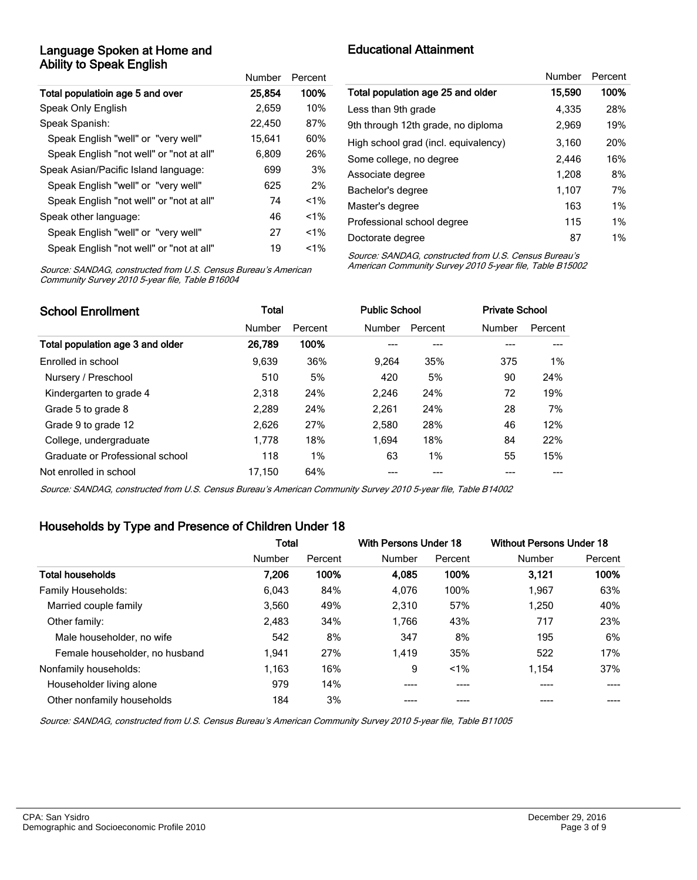### Language Spoken at Home and Ability to Speak English

|                                          | Number | Percent |
|------------------------------------------|--------|---------|
| Total populatioin age 5 and over         | 25,854 | 100%    |
| Speak Only English                       | 2,659  | 10%     |
| Speak Spanish:                           | 22.450 | 87%     |
| Speak English "well" or "very well"      | 15,641 | 60%     |
| Speak English "not well" or "not at all" | 6,809  | 26%     |
| Speak Asian/Pacific Island language:     | 699    | 3%      |
| Speak English "well" or "very well"      | 625    | 2%      |
| Speak English "not well" or "not at all" | 74     | $< 1\%$ |
| Speak other language:                    | 46     | $< 1\%$ |
| Speak English "well" or "very well"      | 27     | $< 1\%$ |
| Speak English "not well" or "not at all" | 19     | $< 1\%$ |

# Educational Attainment

|                                      | Number | Percent |
|--------------------------------------|--------|---------|
| Total population age 25 and older    | 15,590 | 100%    |
| Less than 9th grade                  | 4.335  | 28%     |
| 9th through 12th grade, no diploma   | 2.969  | 19%     |
| High school grad (incl. equivalency) | 3,160  | 20%     |
| Some college, no degree              | 2.446  | 16%     |
| Associate degree                     | 1.208  | 8%      |
| Bachelor's degree                    | 1,107  | 7%      |
| Master's degree                      | 163    | 1%      |
| Professional school degree           | 115    | $1\%$   |
| Doctorate degree                     | 87     | $1\%$   |

Source: SANDAG, constructed from U.S. Census Bureau's American Community Survey 2010 5-year file, Table B16004

Source: SANDAG, constructed from U.S. Census Bureau's American Community Survey 2010 5-year file, Table B15002

| <b>School Enrollment</b>         | <b>Total</b> |         |        | <b>Public School</b> |        | <b>Private School</b> |  |
|----------------------------------|--------------|---------|--------|----------------------|--------|-----------------------|--|
|                                  | Number       | Percent | Number | Percent              | Number | Percent               |  |
| Total population age 3 and older | 26,789       | 100%    |        | ---                  |        |                       |  |
| Enrolled in school               | 9.639        | 36%     | 9.264  | 35%                  | 375    | $1\%$                 |  |
| Nursery / Preschool              | 510          | 5%      | 420    | 5%                   | 90     | 24%                   |  |
| Kindergarten to grade 4          | 2.318        | 24%     | 2,246  | 24%                  | 72     | 19%                   |  |
| Grade 5 to grade 8               | 2.289        | 24%     | 2.261  | 24%                  | 28     | 7%                    |  |
| Grade 9 to grade 12              | 2,626        | 27%     | 2,580  | 28%                  | 46     | 12%                   |  |
| College, undergraduate           | 1.778        | 18%     | 1.694  | 18%                  | 84     | 22%                   |  |
| Graduate or Professional school  | 118          | 1%      | 63     | 1%                   | 55     | 15%                   |  |
| Not enrolled in school           | 17.150       | 64%     |        |                      |        |                       |  |

Source: SANDAG, constructed from U.S. Census Bureau's American Community Survey 2010 5-year file, Table B14002

## Households by Type and Presence of Children Under 18

|                                | <b>Total</b> |         | With Persons Under 18 |         | <b>Without Persons Under 18</b> |         |
|--------------------------------|--------------|---------|-----------------------|---------|---------------------------------|---------|
|                                | Number       | Percent | Number                | Percent | Number                          | Percent |
| <b>Total households</b>        | 7,206        | 100%    | 4.085                 | 100%    | 3,121                           | 100%    |
| Family Households:             | 6,043        | 84%     | 4,076                 | 100%    | 1.967                           | 63%     |
| Married couple family          | 3,560        | 49%     | 2,310                 | 57%     | 1,250                           | 40%     |
| Other family:                  | 2,483        | 34%     | 1,766                 | 43%     | 717                             | 23%     |
| Male householder, no wife      | 542          | 8%      | 347                   | 8%      | 195                             | 6%      |
| Female householder, no husband | 1.941        | 27%     | 1,419                 | 35%     | 522                             | 17%     |
| Nonfamily households:          | 1,163        | 16%     | 9                     | $1\%$   | 1,154                           | 37%     |
| Householder living alone       | 979          | 14%     | ----                  | ----    |                                 |         |
| Other nonfamily households     | 184          | 3%      |                       |         |                                 |         |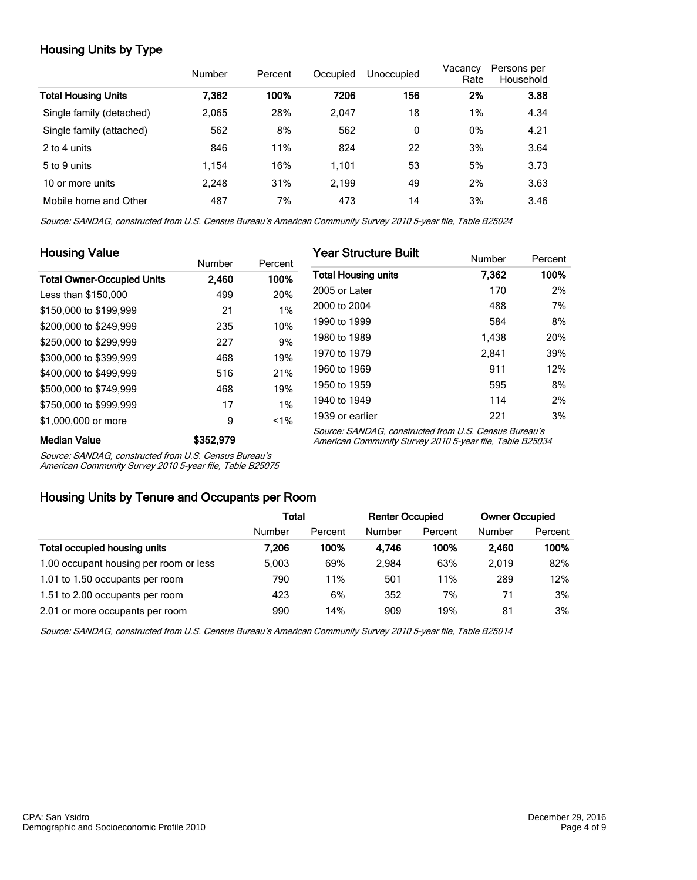# Housing Units by Type

|                            | Number | Percent | Occupied | Unoccupied | Vacancy<br>Rate | Persons per<br>Household |
|----------------------------|--------|---------|----------|------------|-----------------|--------------------------|
| <b>Total Housing Units</b> | 7.362  | 100%    | 7206     | 156        | 2%              | 3.88                     |
| Single family (detached)   | 2.065  | 28%     | 2.047    | 18         | 1%              | 4.34                     |
| Single family (attached)   | 562    | 8%      | 562      | 0          | 0%              | 4.21                     |
| 2 to 4 units               | 846    | 11%     | 824      | 22         | 3%              | 3.64                     |
| 5 to 9 units               | 1,154  | 16%     | 1,101    | 53         | 5%              | 3.73                     |
| 10 or more units           | 2,248  | 31%     | 2,199    | 49         | 2%              | 3.63                     |
| Mobile home and Other      | 487    | 7%      | 473      | 14         | 3%              | 3.46                     |

Source: SANDAG, constructed from U.S. Census Bureau's American Community Survey 2010 5-year file, Table B25024

| <b>Housing Value</b>              |               |         | <b>Year Structure Built</b>                                                                                       |        |         |
|-----------------------------------|---------------|---------|-------------------------------------------------------------------------------------------------------------------|--------|---------|
|                                   | <b>Number</b> | Percent |                                                                                                                   | Number | Percent |
| <b>Total Owner-Occupied Units</b> | 2.460         | 100%    | <b>Total Housing units</b>                                                                                        | 7.362  | 100%    |
| Less than \$150,000               | 499           | 20%     | 2005 or Later                                                                                                     | 170    | 2%      |
| \$150,000 to \$199,999            | 21            | 1%      | 2000 to 2004                                                                                                      | 488    | 7%      |
| \$200,000 to \$249,999            | 235           | 10%     | 1990 to 1999                                                                                                      | 584    | 8%      |
| \$250,000 to \$299.999            | 227           | 9%      | 1980 to 1989                                                                                                      | 1.438  | 20%     |
| \$300,000 to \$399,999            | 468           | 19%     | 1970 to 1979                                                                                                      | 2.841  | 39%     |
| \$400,000 to \$499.999            | 516           | 21%     | 1960 to 1969                                                                                                      | 911    | 12%     |
| \$500,000 to \$749.999            | 468           | 19%     | 1950 to 1959                                                                                                      | 595    | 8%      |
| \$750,000 to \$999,999            | 17            | 1%      | 1940 to 1949                                                                                                      | 114    | 2%      |
| \$1,000,000 or more               | 9             | 1%      | 1939 or earlier                                                                                                   | 221    | 3%      |
| <b>Median Value</b>               | \$352,979     |         | Source: SANDAG, constructed from U.S. Census Bureau's<br>American Community Survey 2010 5-year file, Table B25034 |        |         |

Source: SANDAG, constructed from U.S. Census Bureau's

American Community Survey 2010 5-year file, Table B25075

### Housing Units by Tenure and Occupants per Room

|                                        | Total  |         | <b>Renter Occupied</b> |         | <b>Owner Occupied</b> |         |
|----------------------------------------|--------|---------|------------------------|---------|-----------------------|---------|
|                                        | Number | Percent | Number                 | Percent | Number                | Percent |
| Total occupied housing units           | 7.206  | 100%    | 4.746                  | 100%    | 2.460                 | 100%    |
| 1.00 occupant housing per room or less | 5.003  | 69%     | 2.984                  | 63%     | 2.019                 | 82%     |
| 1.01 to 1.50 occupants per room        | 790    | 11%     | 501                    | 11%     | 289                   | 12%     |
| 1.51 to 2.00 occupants per room        | 423    | 6%      | 352                    | 7%      | 71                    | 3%      |
| 2.01 or more occupants per room        | 990    | 14%     | 909                    | 19%     | 81                    | 3%      |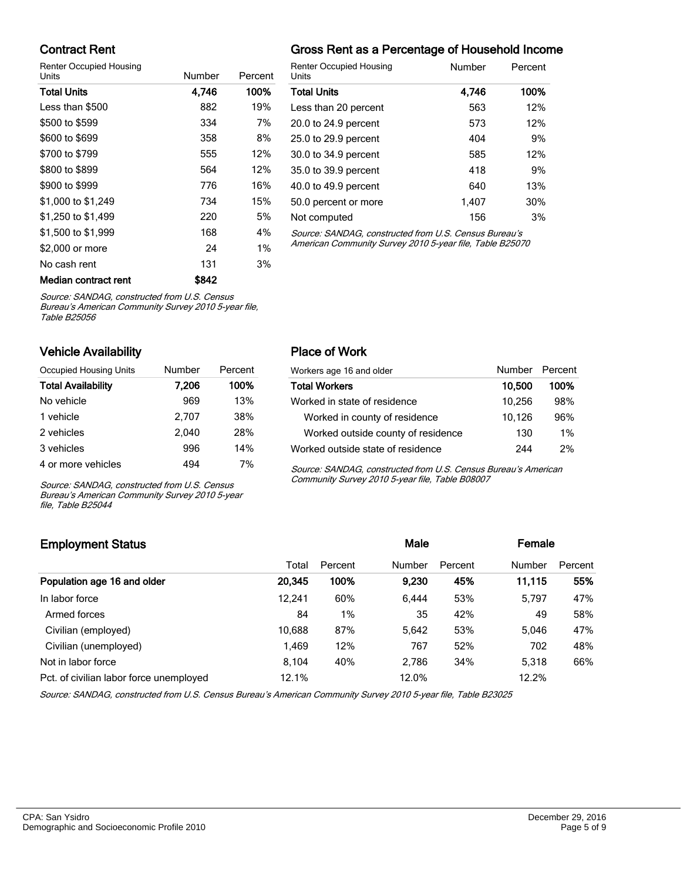## Contract Rent

Renter Occupied Housing

| Units                | Number | Percent |   |
|----------------------|--------|---------|---|
| <b>Total Units</b>   | 4,746  | 100%    | ٦ |
| Less than \$500      | 882    | 19%     | L |
| \$500 to \$599       | 334    | 7%      | 2 |
| \$600 to \$699       | 358    | 8%      | 2 |
| \$700 to \$799       | 555    | 12%     | 3 |
| \$800 to \$899       | 564    | 12%     | З |
| \$900 to \$999       | 776    | 16%     | 4 |
| \$1,000 to \$1,249   | 734    | 15%     | 5 |
| \$1,250 to \$1,499   | 220    | 5%      | ٨ |
| \$1,500 to \$1,999   | 168    | 4%      | Ś |
| \$2,000 or more      | 24     | 1%      | F |
| No cash rent         | 131    | 3%      |   |
| Median contract rent | \$842  |         |   |

# Gross Rent as a Percentage of Household Income

| <b>Renter Occupied Housing</b><br>Units               | Number | Percent |
|-------------------------------------------------------|--------|---------|
| Total Units                                           | 4,746  | 100%    |
| Less than 20 percent                                  | 563    | 12%     |
| 20.0 to 24.9 percent                                  | 573    | 12%     |
| 25.0 to 29.9 percent                                  | 404    | 9%      |
| 30.0 to 34.9 percent                                  | 585    | 12%     |
| 35.0 to 39.9 percent                                  | 418    | 9%      |
| 40.0 to 49.9 percent                                  | 640    | 13%     |
| 50.0 percent or more                                  | 1.407  | 30%     |
| Not computed                                          | 156    | 3%      |
| Source: SANDAC, constructed from U.S. Cansus Burgau's |        |         |

Source: SANDAG, constructed from U.S. Cens American Community Survey 2010 5-year file, Table B25070

Source: SANDAG, constructed from U.S. Census

Bureau's American Community Survey 2010 5-year file, Table B25056

### Vehicle Availability

| Occupied Housing Units    | Number | Percent |
|---------------------------|--------|---------|
| <b>Total Availability</b> | 7,206  | 100%    |
| No vehicle                | 969    | 13%     |
| 1 vehicle                 | 2.707  | 38%     |
| 2 vehicles                | 2,040  | 28%     |
| 3 vehicles                | 996    | 14%     |
| 4 or more vehicles        | 494    | 7%      |

Source: SANDAG, constructed from U.S. Census Bureau's American Community Survey 2010 5-year file, Table B25044

### Place of Work

| Workers age 16 and older           | Number Percent |       |
|------------------------------------|----------------|-------|
| <b>Total Workers</b>               | 10,500         | 100%  |
| Worked in state of residence       | 10,256         | 98%   |
| Worked in county of residence      | 10,126         | 96%   |
| Worked outside county of residence | 130            | $1\%$ |
| Worked outside state of residence  | 244            | 2%    |

Source: SANDAG, constructed from U.S. Census Bureau's American Community Survey 2010 5-year file, Table B08007

# Employment Status **Employment Status Male Employment Status Male Employment Status Male Employment Status** Total Percent Number Percent Number Percent Population age 16 and older 20,345 100% 9,230 45% 11,115 55% In labor force 12,241 60% 6,444 53% 5,797 47% Armed forces 284 1% 35 42% 49 58% Civilian (employed) 10,688 87% 5,642 53% 5,046 47% Civilian (unemployed) 1,469 12% 767 52% 702 48% Not in labor force **8,104** 40% 2,786 34% 5,318 66% Pct. of civilian labor force unemployed 12.1% 12.0% 12.2% 12.2%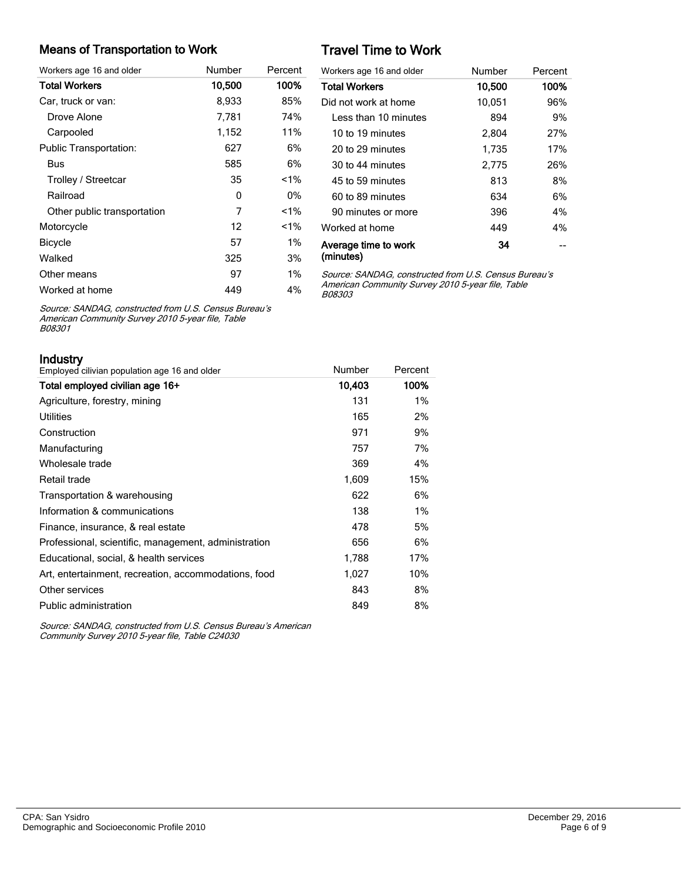#### Means of Transportation to Work

| Workers age 16 and older      | Number | Percent |
|-------------------------------|--------|---------|
| <b>Total Workers</b>          | 10,500 | 100%    |
| Car, truck or van:            | 8,933  | 85%     |
| Drove Alone                   | 7,781  | 74%     |
| Carpooled                     | 1,152  | 11%     |
| <b>Public Transportation:</b> | 627    | 6%      |
| Bus                           | 585    | 6%      |
| Trolley / Streetcar           | 35     | $< 1\%$ |
| Railroad                      | 0      | 0%      |
| Other public transportation   | 7      | $< 1\%$ |
| Motorcycle                    | 12     | $< 1\%$ |
| <b>Bicycle</b>                | 57     | $1\%$   |
| Walked                        | 325    | 3%      |
| Other means                   | 97     | $1\%$   |
| Worked at home                | 449    | 4%      |

# Travel Time to Work

| Workers age 16 and older          | Number | Percent |
|-----------------------------------|--------|---------|
| <b>Total Workers</b>              | 10,500 | 100%    |
| Did not work at home              | 10,051 | 96%     |
| Less than 10 minutes              | 894    | 9%      |
| 10 to 19 minutes                  | 2,804  | 27%     |
| 20 to 29 minutes                  | 1,735  | 17%     |
| 30 to 44 minutes                  | 2,775  | 26%     |
| 45 to 59 minutes                  | 813    | 8%      |
| 60 to 89 minutes                  | 634    | 6%      |
| 90 minutes or more                | 396    | 4%      |
| Worked at home                    | 449    | 4%      |
| Average time to work<br>(minutes) | 34     |         |

Source: SANDAG, constructed from U.S. Census Bureau's American Community Survey 2010 5-year file, Table B08303

Source: SANDAG, constructed from U.S. Census Bureau's American Community Survey 2010 5-year file, Table B08301

| Industry |  |  |  |  |
|----------|--|--|--|--|
|          |  |  |  |  |

| Employed cilivian population age 16 and older        | Number | Percent |
|------------------------------------------------------|--------|---------|
| Total employed civilian age 16+                      | 10,403 | 100%    |
| Agriculture, forestry, mining                        | 131    | 1%      |
| <b>Utilities</b>                                     | 165    | 2%      |
| Construction                                         | 971    | 9%      |
| Manufacturing                                        | 757    | 7%      |
| Wholesale trade                                      | 369    | 4%      |
| Retail trade                                         | 1,609  | 15%     |
| Transportation & warehousing                         | 622    | 6%      |
| Information & communications                         | 138    | 1%      |
| Finance, insurance, & real estate                    | 478    | 5%      |
| Professional, scientific, management, administration | 656    | 6%      |
| Educational, social, & health services               | 1,788  | 17%     |
| Art, entertainment, recreation, accommodations, food | 1.027  | 10%     |
| Other services                                       | 843    | 8%      |
| Public administration                                | 849    | 8%      |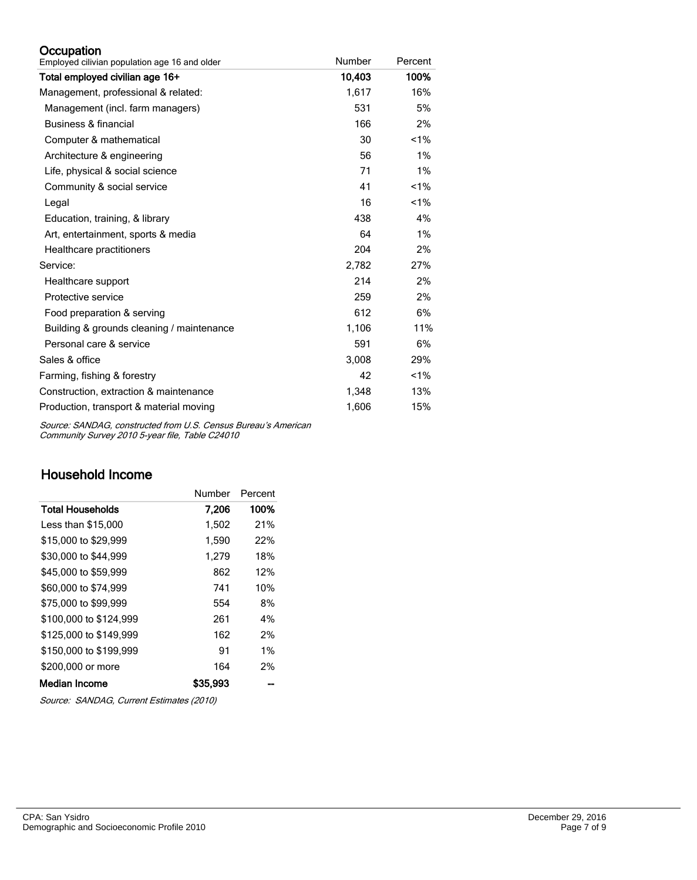### **Occupation**

| Employed cilivian population age 16 and older | Number | Percent |
|-----------------------------------------------|--------|---------|
| Total employed civilian age 16+               | 10,403 | 100%    |
| Management, professional & related:           | 1,617  | 16%     |
| Management (incl. farm managers)              | 531    | 5%      |
| Business & financial                          | 166    | 2%      |
| Computer & mathematical                       | 30     | 1%      |
| Architecture & engineering                    | 56     | 1%      |
| Life, physical & social science               | 71     | $1\%$   |
| Community & social service                    | 41     | $1\%$   |
| Legal                                         | 16     | $1\%$   |
| Education, training, & library                | 438    | 4%      |
| Art, entertainment, sports & media            | 64     | $1\%$   |
| Healthcare practitioners                      | 204    | 2%      |
| Service:                                      | 2,782  | 27%     |
| Healthcare support                            | 214    | 2%      |
| Protective service                            | 259    | 2%      |
| Food preparation & serving                    | 612    | 6%      |
| Building & grounds cleaning / maintenance     | 1,106  | 11%     |
| Personal care & service                       | 591    | 6%      |
| Sales & office                                | 3,008  | 29%     |
| Farming, fishing & forestry                   | 42     | $1\%$   |
| Construction, extraction & maintenance        | 1,348  | 13%     |
| Production, transport & material moving       | 1,606  | 15%     |

Source: SANDAG, constructed from U.S. Census Bureau's American Community Survey 2010 5-year file, Table C24010

# Household Income

|                        | Number   | Percent |
|------------------------|----------|---------|
| Total Households       | 7,206    | 100%    |
| Less than \$15,000     | 1,502    | 21%     |
| \$15,000 to \$29,999   | 1,590    | 22%     |
| \$30,000 to \$44,999   | 1,279    | 18%     |
| \$45,000 to \$59,999   | 862      | 12%     |
| \$60,000 to \$74,999   | 741      | 10%     |
| \$75,000 to \$99,999   | 554      | 8%      |
| \$100,000 to \$124.999 | 261      | 4%      |
| \$125,000 to \$149.999 | 162      | 2%      |
| \$150,000 to \$199.999 | 91       | 1%      |
| \$200,000 or more      | 164      | 2%      |
| Median Income          | \$35,993 |         |

Source: SANDAG, Current Estimates (2010)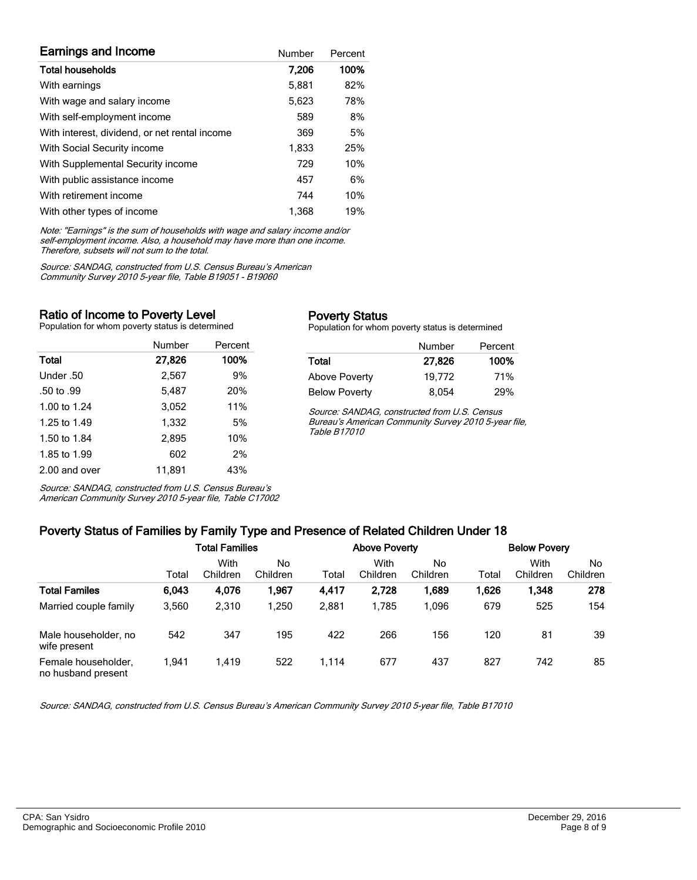| <b>Earnings and Income</b>                    | Number | Percent |
|-----------------------------------------------|--------|---------|
| <b>Total households</b>                       | 7,206  | 100%    |
| With earnings                                 | 5.881  | 82%     |
| With wage and salary income                   | 5,623  | 78%     |
| With self-employment income                   | 589    | 8%      |
| With interest, dividend, or net rental income | 369    | 5%      |
| With Social Security income                   | 1,833  | 25%     |
| With Supplemental Security income             | 729    | 10%     |
| With public assistance income                 | 457    | 6%      |
| With retirement income                        | 744    | 10%     |
| With other types of income                    | 1.368  | 19%     |

Note: "Earnings" is the sum of households with wage and salary income and/or self-employment income. Also, a household may have more than one income. Therefore, subsets will not sum to the total.

Source: SANDAG, constructed from U.S. Census Bureau's American Community Survey 2010 5-year file, Table B19051 - B19060

#### Ratio of Income to Poverty Level

Population for whom poverty status is determined

|               | Number | Percent |
|---------------|--------|---------|
| Total         | 27,826 | 100%    |
| Under .50     | 2.567  | 9%      |
| .50 to .99    | 5,487  | 20%     |
| 1.00 to 1.24  | 3,052  | 11%     |
| 1.25 to 1.49  | 1,332  | 5%      |
| 1.50 to 1.84  | 2.895  | 10%     |
| 1.85 to 1.99  | 602    | 2%      |
| 2.00 and over | 11.891 | 43%     |

Source: SANDAG, constructed from U.S. Census Bureau's American Community Survey 2010 5-year file, Table C17002

#### Poverty Status

Population for whom poverty status is determined

|                      | Number | Percent |
|----------------------|--------|---------|
| Total                | 27,826 | 100%    |
| Above Poverty        | 19.772 | 71%     |
| <b>Below Poverty</b> | 8.054  | 29%     |

Source: SANDAG, constructed from U.S. Census Bureau's American Community Survey 2010 5-year file, Table B17010

# Poverty Status of Families by Family Type and Presence of Related Children Under 18

|                                           | <b>Total Families</b> |                  |                | <b>Above Poverty</b> |                  |                | <b>Below Povery</b> |                  |                |
|-------------------------------------------|-----------------------|------------------|----------------|----------------------|------------------|----------------|---------------------|------------------|----------------|
|                                           | Total                 | With<br>Children | No<br>Children | Total                | With<br>Children | No<br>Children | Total               | With<br>Children | No<br>Children |
| <b>Total Familes</b>                      | 6.043                 | 4,076            | 1.967          | 4,417                | 2,728            | 1.689          | 1,626               | 1,348            | 278            |
| Married couple family                     | 3,560                 | 2.310            | 1.250          | 2,881                | 1.785            | 1.096          | 679                 | 525              | 154            |
| Male householder, no<br>wife present      | 542                   | 347              | 195            | 422                  | 266              | 156            | 120                 | 81               | 39             |
| Female householder,<br>no husband present | 1.941                 | 1.419            | 522            | 1,114                | 677              | 437            | 827                 | 742              | 85             |